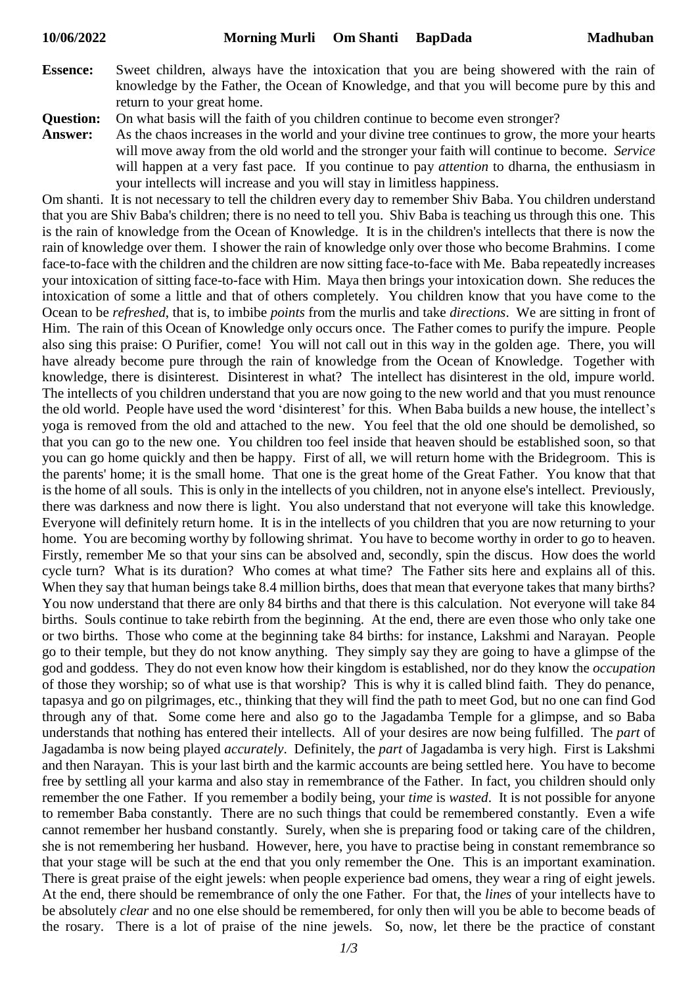**Essence:** Sweet children, always have the intoxication that you are being showered with the rain of knowledge by the Father, the Ocean of Knowledge, and that you will become pure by this and return to your great home.

**Question:** On what basis will the faith of you children continue to become even stronger?

**Answer:** As the chaos increases in the world and your divine tree continues to grow, the more your hearts will move away from the old world and the stronger your faith will continue to become. *Service* will happen at a very fast pace. If you continue to pay *attention* to dharna, the enthusiasm in your intellects will increase and you will stay in limitless happiness.

Om shanti. It is not necessary to tell the children every day to remember Shiv Baba. You children understand that you are Shiv Baba's children; there is no need to tell you. Shiv Baba is teaching us through this one. This is the rain of knowledge from the Ocean of Knowledge. It is in the children's intellects that there is now the rain of knowledge over them. I shower the rain of knowledge only over those who become Brahmins. I come face-to-face with the children and the children are now sitting face-to-face with Me. Baba repeatedly increases your intoxication of sitting face-to-face with Him. Maya then brings your intoxication down. She reduces the intoxication of some a little and that of others completely. You children know that you have come to the Ocean to be *refreshed*, that is, to imbibe *points* from the murlis and take *directions*. We are sitting in front of Him. The rain of this Ocean of Knowledge only occurs once. The Father comes to purify the impure. People also sing this praise: O Purifier, come! You will not call out in this way in the golden age. There, you will have already become pure through the rain of knowledge from the Ocean of Knowledge. Together with knowledge, there is disinterest. Disinterest in what? The intellect has disinterest in the old, impure world. The intellects of you children understand that you are now going to the new world and that you must renounce the old world. People have used the word 'disinterest' for this. When Baba builds a new house, the intellect's yoga is removed from the old and attached to the new. You feel that the old one should be demolished, so that you can go to the new one. You children too feel inside that heaven should be established soon, so that you can go home quickly and then be happy. First of all, we will return home with the Bridegroom. This is the parents' home; it is the small home. That one is the great home of the Great Father. You know that that is the home of all souls. This is only in the intellects of you children, not in anyone else's intellect. Previously, there was darkness and now there is light. You also understand that not everyone will take this knowledge. Everyone will definitely return home. It is in the intellects of you children that you are now returning to your home. You are becoming worthy by following shrimat. You have to become worthy in order to go to heaven. Firstly, remember Me so that your sins can be absolved and, secondly, spin the discus. How does the world cycle turn? What is its duration? Who comes at what time? The Father sits here and explains all of this. When they say that human beings take 8.4 million births, does that mean that everyone takes that many births? You now understand that there are only 84 births and that there is this calculation. Not everyone will take 84 births. Souls continue to take rebirth from the beginning. At the end, there are even those who only take one or two births. Those who come at the beginning take 84 births: for instance, Lakshmi and Narayan. People go to their temple, but they do not know anything. They simply say they are going to have a glimpse of the god and goddess. They do not even know how their kingdom is established, nor do they know the *occupation* of those they worship; so of what use is that worship? This is why it is called blind faith. They do penance, tapasya and go on pilgrimages, etc., thinking that they will find the path to meet God, but no one can find God through any of that. Some come here and also go to the Jagadamba Temple for a glimpse, and so Baba understands that nothing has entered their intellects. All of your desires are now being fulfilled. The *part* of Jagadamba is now being played *accurately*. Definitely, the *part* of Jagadamba is very high. First is Lakshmi and then Narayan. This is your last birth and the karmic accounts are being settled here. You have to become free by settling all your karma and also stay in remembrance of the Father. In fact, you children should only remember the one Father. If you remember a bodily being, your *time* is *wasted*. It is not possible for anyone to remember Baba constantly. There are no such things that could be remembered constantly. Even a wife cannot remember her husband constantly. Surely, when she is preparing food or taking care of the children, she is not remembering her husband. However, here, you have to practise being in constant remembrance so that your stage will be such at the end that you only remember the One. This is an important examination. There is great praise of the eight jewels: when people experience bad omens, they wear a ring of eight jewels. At the end, there should be remembrance of only the one Father. For that, the *lines* of your intellects have to be absolutely *clear* and no one else should be remembered, for only then will you be able to become beads of the rosary. There is a lot of praise of the nine jewels. So, now, let there be the practice of constant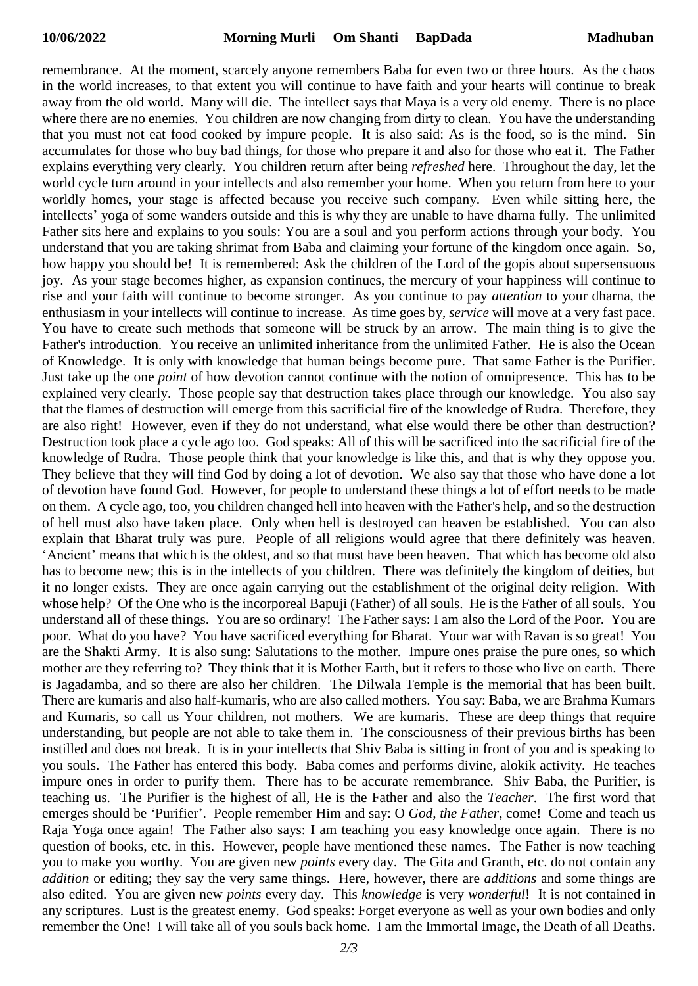remembrance. At the moment, scarcely anyone remembers Baba for even two or three hours. As the chaos in the world increases, to that extent you will continue to have faith and your hearts will continue to break away from the old world. Many will die. The intellect says that Maya is a very old enemy. There is no place where there are no enemies. You children are now changing from dirty to clean. You have the understanding that you must not eat food cooked by impure people. It is also said: As is the food, so is the mind. Sin accumulates for those who buy bad things, for those who prepare it and also for those who eat it. The Father explains everything very clearly. You children return after being *refreshed* here. Throughout the day, let the world cycle turn around in your intellects and also remember your home. When you return from here to your worldly homes, your stage is affected because you receive such company. Even while sitting here, the intellects' yoga of some wanders outside and this is why they are unable to have dharna fully. The unlimited Father sits here and explains to you souls: You are a soul and you perform actions through your body. You understand that you are taking shrimat from Baba and claiming your fortune of the kingdom once again. So, how happy you should be! It is remembered: Ask the children of the Lord of the gopis about supersensuous joy. As your stage becomes higher, as expansion continues, the mercury of your happiness will continue to rise and your faith will continue to become stronger. As you continue to pay *attention* to your dharna, the enthusiasm in your intellects will continue to increase. As time goes by, *service* will move at a very fast pace. You have to create such methods that someone will be struck by an arrow. The main thing is to give the Father's introduction. You receive an unlimited inheritance from the unlimited Father. He is also the Ocean of Knowledge. It is only with knowledge that human beings become pure. That same Father is the Purifier. Just take up the one *point* of how devotion cannot continue with the notion of omnipresence. This has to be explained very clearly. Those people say that destruction takes place through our knowledge. You also say that the flames of destruction will emerge from this sacrificial fire of the knowledge of Rudra. Therefore, they are also right! However, even if they do not understand, what else would there be other than destruction? Destruction took place a cycle ago too. God speaks: All of this will be sacrificed into the sacrificial fire of the knowledge of Rudra. Those people think that your knowledge is like this, and that is why they oppose you. They believe that they will find God by doing a lot of devotion. We also say that those who have done a lot of devotion have found God. However, for people to understand these things a lot of effort needs to be made on them. A cycle ago, too, you children changed hell into heaven with the Father's help, and so the destruction of hell must also have taken place. Only when hell is destroyed can heaven be established. You can also explain that Bharat truly was pure. People of all religions would agree that there definitely was heaven. 'Ancient' means that which is the oldest, and so that must have been heaven. That which has become old also has to become new; this is in the intellects of you children. There was definitely the kingdom of deities, but it no longer exists. They are once again carrying out the establishment of the original deity religion. With whose help? Of the One who is the incorporeal Bapuji (Father) of all souls. He is the Father of all souls. You understand all of these things. You are so ordinary! The Father says: I am also the Lord of the Poor. You are poor. What do you have? You have sacrificed everything for Bharat. Your war with Ravan is so great! You are the Shakti Army. It is also sung: Salutations to the mother. Impure ones praise the pure ones, so which mother are they referring to? They think that it is Mother Earth, but it refers to those who live on earth. There is Jagadamba, and so there are also her children. The Dilwala Temple is the memorial that has been built. There are kumaris and also half-kumaris, who are also called mothers. You say: Baba, we are Brahma Kumars and Kumaris, so call us Your children, not mothers. We are kumaris. These are deep things that require understanding, but people are not able to take them in. The consciousness of their previous births has been instilled and does not break. It is in your intellects that Shiv Baba is sitting in front of you and is speaking to you souls. The Father has entered this body. Baba comes and performs divine, alokik activity. He teaches impure ones in order to purify them. There has to be accurate remembrance. Shiv Baba, the Purifier, is teaching us. The Purifier is the highest of all, He is the Father and also the *Teacher*. The first word that emerges should be 'Purifier'. People remember Him and say: O *God, the Father*, come! Come and teach us Raja Yoga once again! The Father also says: I am teaching you easy knowledge once again. There is no question of books, etc. in this. However, people have mentioned these names. The Father is now teaching you to make you worthy. You are given new *points* every day. The Gita and Granth, etc. do not contain any *addition* or editing; they say the very same things. Here, however, there are *additions* and some things are also edited. You are given new *points* every day. This *knowledge* is very *wonderful*! It is not contained in any scriptures. Lust is the greatest enemy. God speaks: Forget everyone as well as your own bodies and only remember the One! I will take all of you souls back home. I am the Immortal Image, the Death of all Deaths.